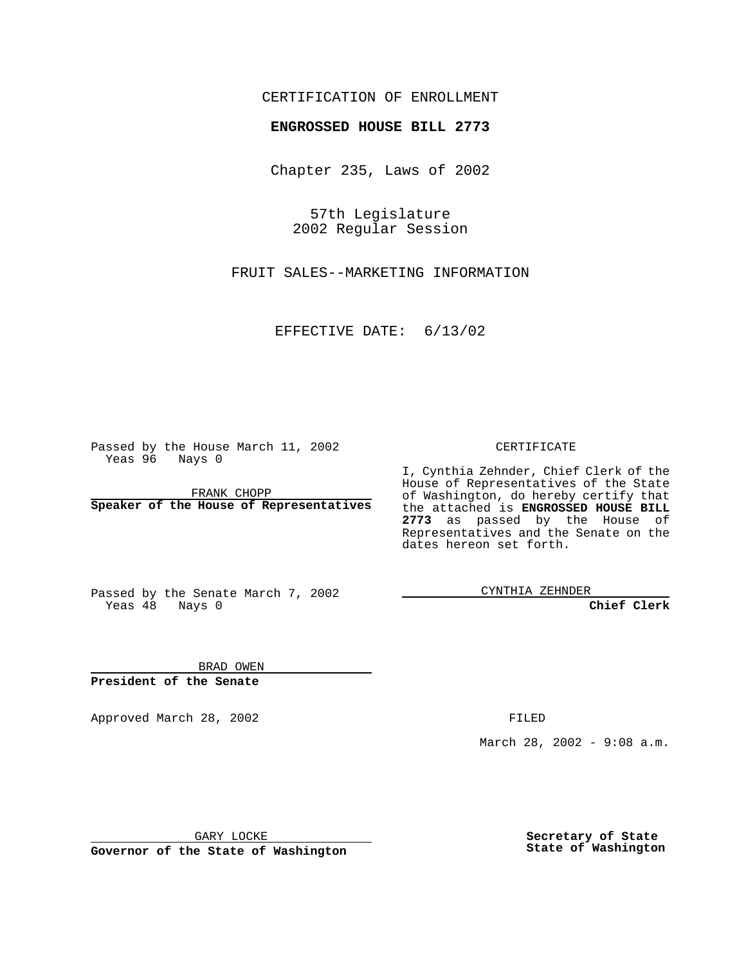## CERTIFICATION OF ENROLLMENT

## **ENGROSSED HOUSE BILL 2773**

Chapter 235, Laws of 2002

57th Legislature 2002 Regular Session

FRUIT SALES--MARKETING INFORMATION

EFFECTIVE DATE: 6/13/02

Passed by the House March 11, 2002 Yeas 96 Nays 0

FRANK CHOPP **Speaker of the House of Representatives** CERTIFICATE

I, Cynthia Zehnder, Chief Clerk of the House of Representatives of the State of Washington, do hereby certify that the attached is **ENGROSSED HOUSE BILL 2773** as passed by the House of Representatives and the Senate on the dates hereon set forth.

Passed by the Senate March 7, 2002 Yeas 48 Nays 0

CYNTHIA ZEHNDER

**Chief Clerk**

BRAD OWEN **President of the Senate**

Approved March 28, 2002 **FILED** 

March 28, 2002 - 9:08 a.m.

GARY LOCKE

**Governor of the State of Washington**

**Secretary of State State of Washington**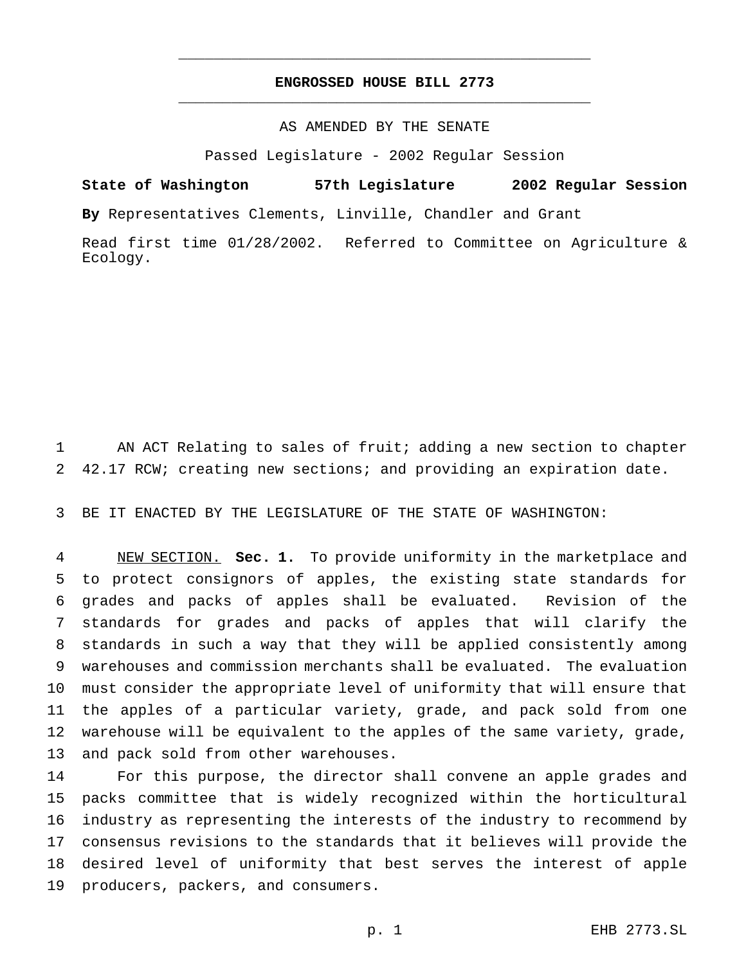## **ENGROSSED HOUSE BILL 2773** \_\_\_\_\_\_\_\_\_\_\_\_\_\_\_\_\_\_\_\_\_\_\_\_\_\_\_\_\_\_\_\_\_\_\_\_\_\_\_\_\_\_\_\_\_\_\_

\_\_\_\_\_\_\_\_\_\_\_\_\_\_\_\_\_\_\_\_\_\_\_\_\_\_\_\_\_\_\_\_\_\_\_\_\_\_\_\_\_\_\_\_\_\_\_

AS AMENDED BY THE SENATE

Passed Legislature - 2002 Regular Session

**State of Washington 57th Legislature 2002 Regular Session By** Representatives Clements, Linville, Chandler and Grant

Read first time 01/28/2002. Referred to Committee on Agriculture & Ecology.

 AN ACT Relating to sales of fruit; adding a new section to chapter 42.17 RCW; creating new sections; and providing an expiration date.

BE IT ENACTED BY THE LEGISLATURE OF THE STATE OF WASHINGTON:

 NEW SECTION. **Sec. 1.** To provide uniformity in the marketplace and to protect consignors of apples, the existing state standards for grades and packs of apples shall be evaluated. Revision of the standards for grades and packs of apples that will clarify the standards in such a way that they will be applied consistently among warehouses and commission merchants shall be evaluated. The evaluation must consider the appropriate level of uniformity that will ensure that the apples of a particular variety, grade, and pack sold from one warehouse will be equivalent to the apples of the same variety, grade, and pack sold from other warehouses.

 For this purpose, the director shall convene an apple grades and packs committee that is widely recognized within the horticultural industry as representing the interests of the industry to recommend by consensus revisions to the standards that it believes will provide the desired level of uniformity that best serves the interest of apple producers, packers, and consumers.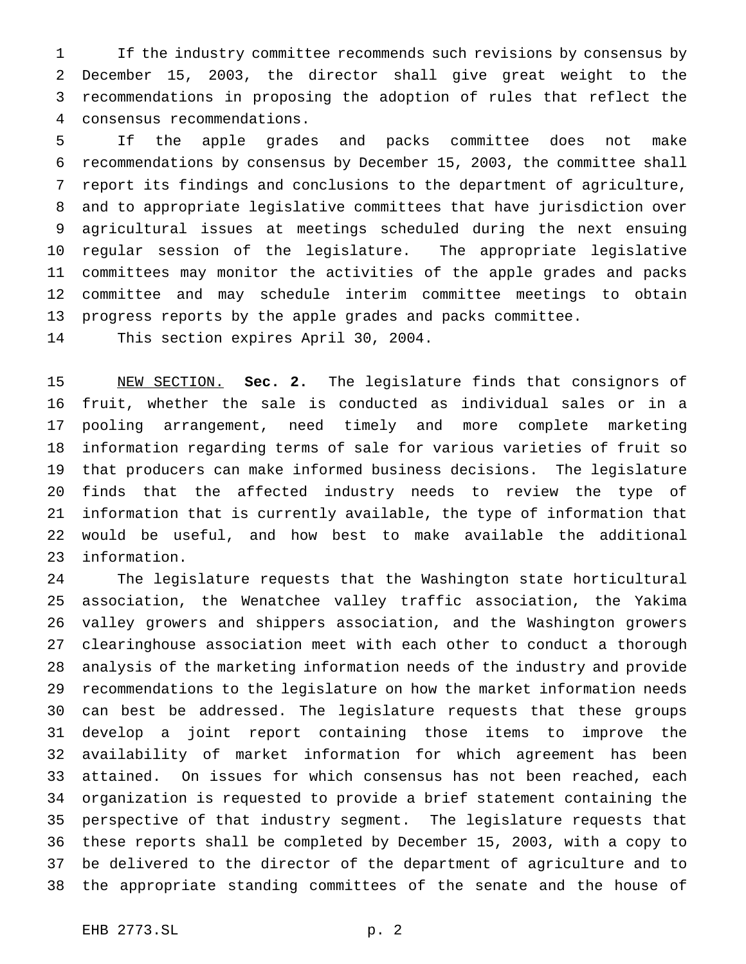If the industry committee recommends such revisions by consensus by December 15, 2003, the director shall give great weight to the recommendations in proposing the adoption of rules that reflect the consensus recommendations.

 If the apple grades and packs committee does not make recommendations by consensus by December 15, 2003, the committee shall report its findings and conclusions to the department of agriculture, and to appropriate legislative committees that have jurisdiction over agricultural issues at meetings scheduled during the next ensuing regular session of the legislature. The appropriate legislative committees may monitor the activities of the apple grades and packs committee and may schedule interim committee meetings to obtain progress reports by the apple grades and packs committee.

This section expires April 30, 2004.

 NEW SECTION. **Sec. 2.** The legislature finds that consignors of fruit, whether the sale is conducted as individual sales or in a pooling arrangement, need timely and more complete marketing information regarding terms of sale for various varieties of fruit so that producers can make informed business decisions. The legislature finds that the affected industry needs to review the type of information that is currently available, the type of information that would be useful, and how best to make available the additional information.

 The legislature requests that the Washington state horticultural association, the Wenatchee valley traffic association, the Yakima valley growers and shippers association, and the Washington growers clearinghouse association meet with each other to conduct a thorough analysis of the marketing information needs of the industry and provide recommendations to the legislature on how the market information needs can best be addressed. The legislature requests that these groups develop a joint report containing those items to improve the availability of market information for which agreement has been attained. On issues for which consensus has not been reached, each organization is requested to provide a brief statement containing the perspective of that industry segment. The legislature requests that these reports shall be completed by December 15, 2003, with a copy to be delivered to the director of the department of agriculture and to the appropriate standing committees of the senate and the house of